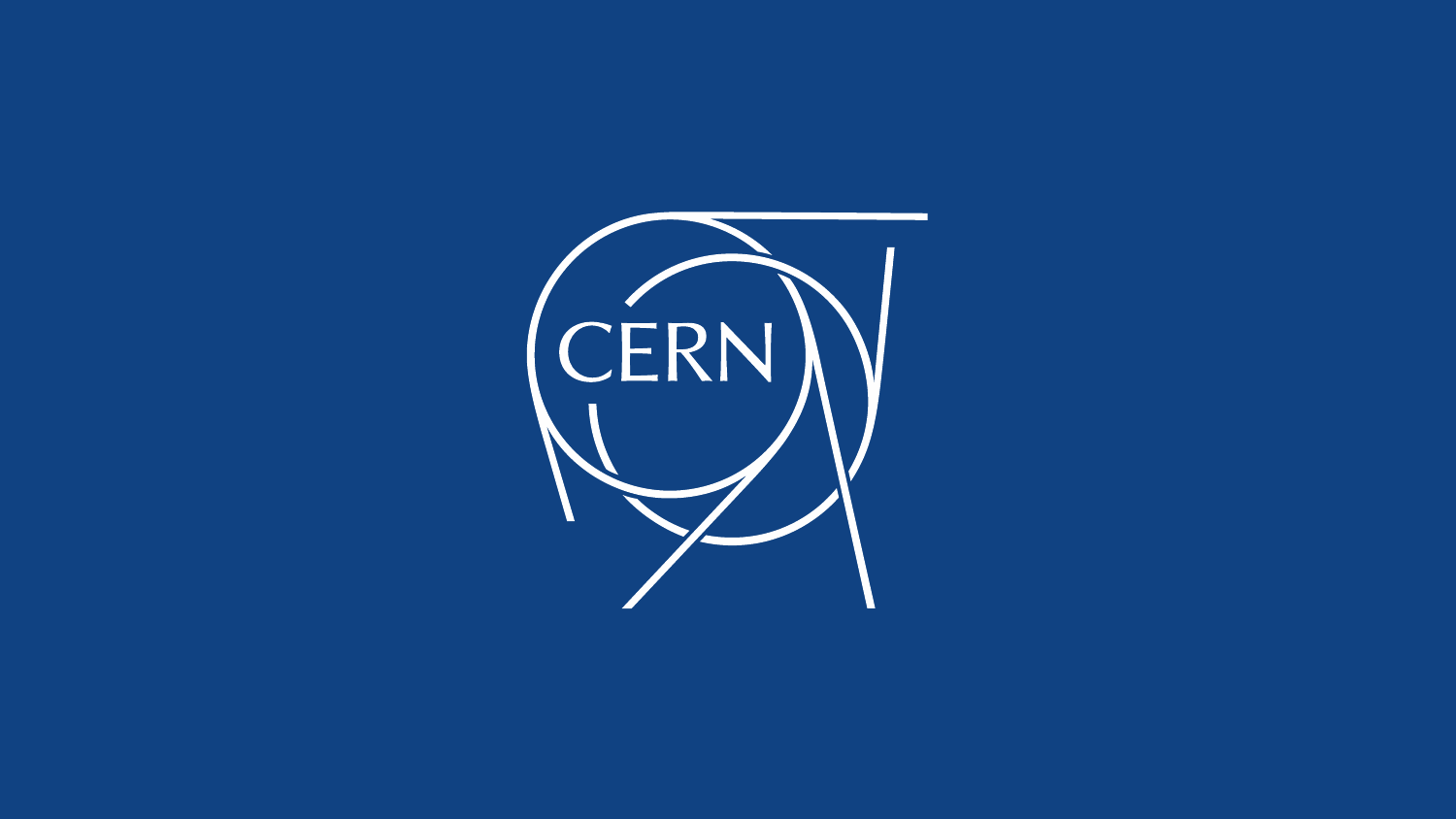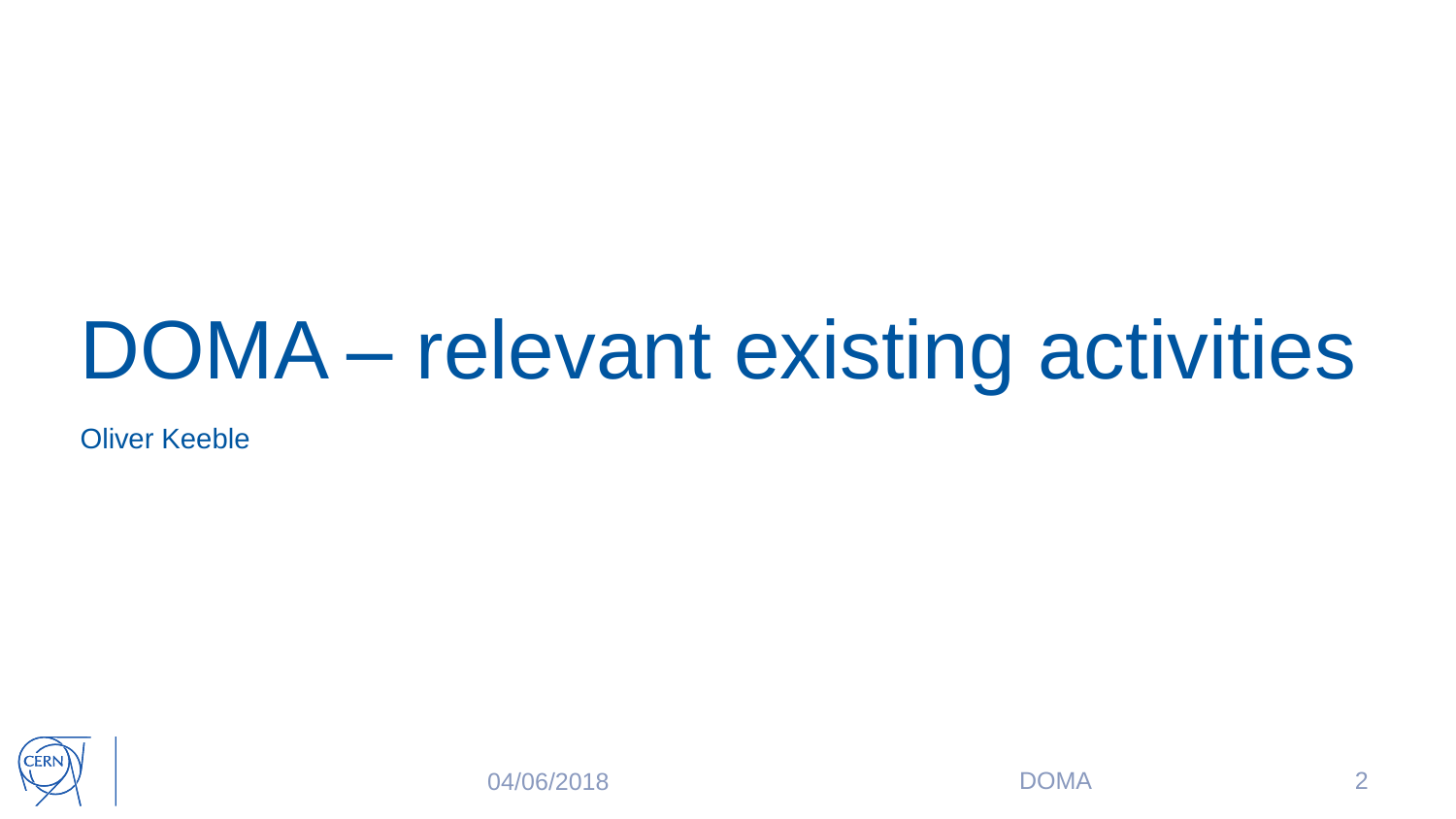### DOMA – relevant existing activities

Oliver Keeble



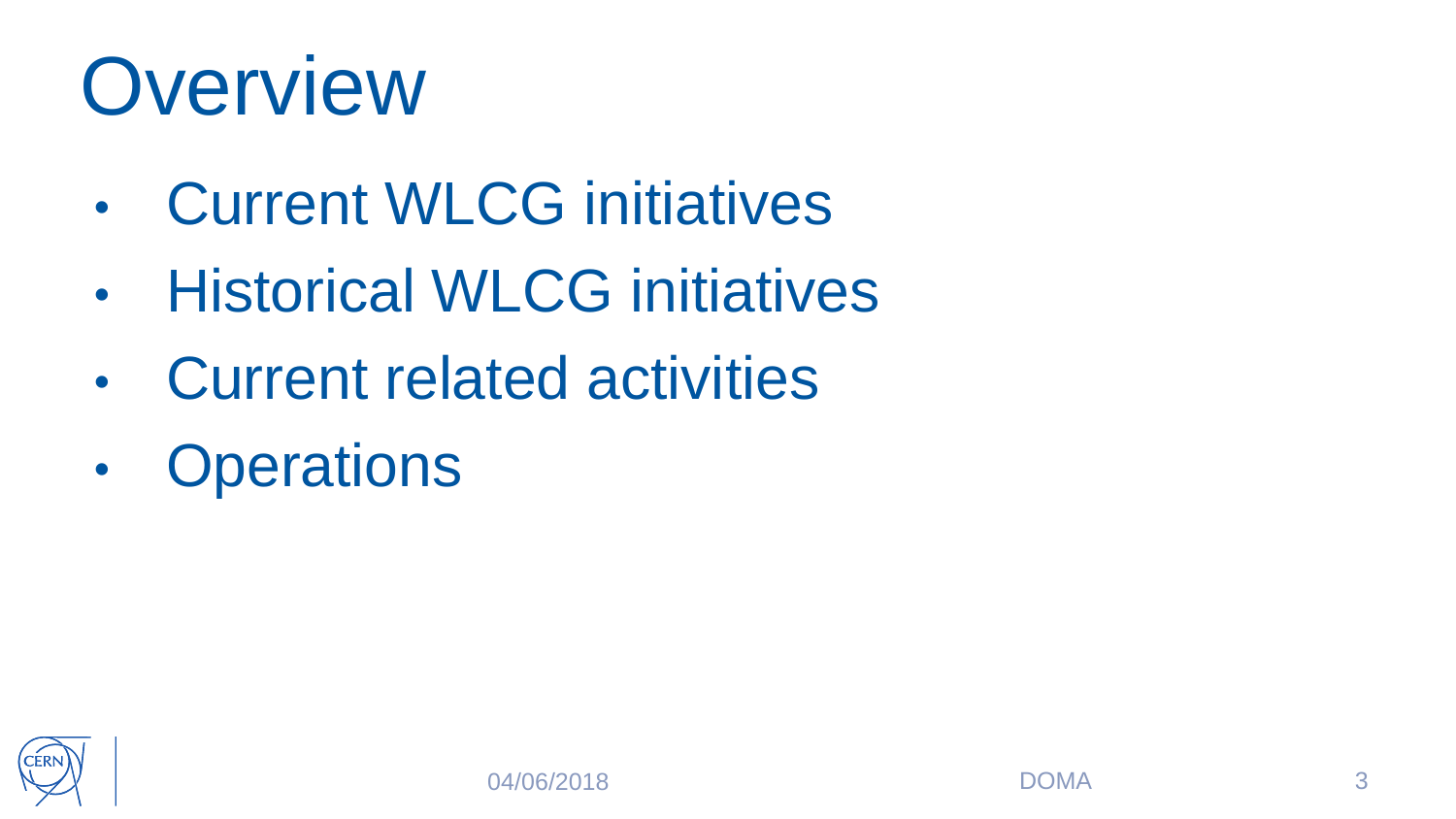### **Overview**

- Current WLCG initiatives
- Historical WLCG initiatives
- Current related activities
- Operations

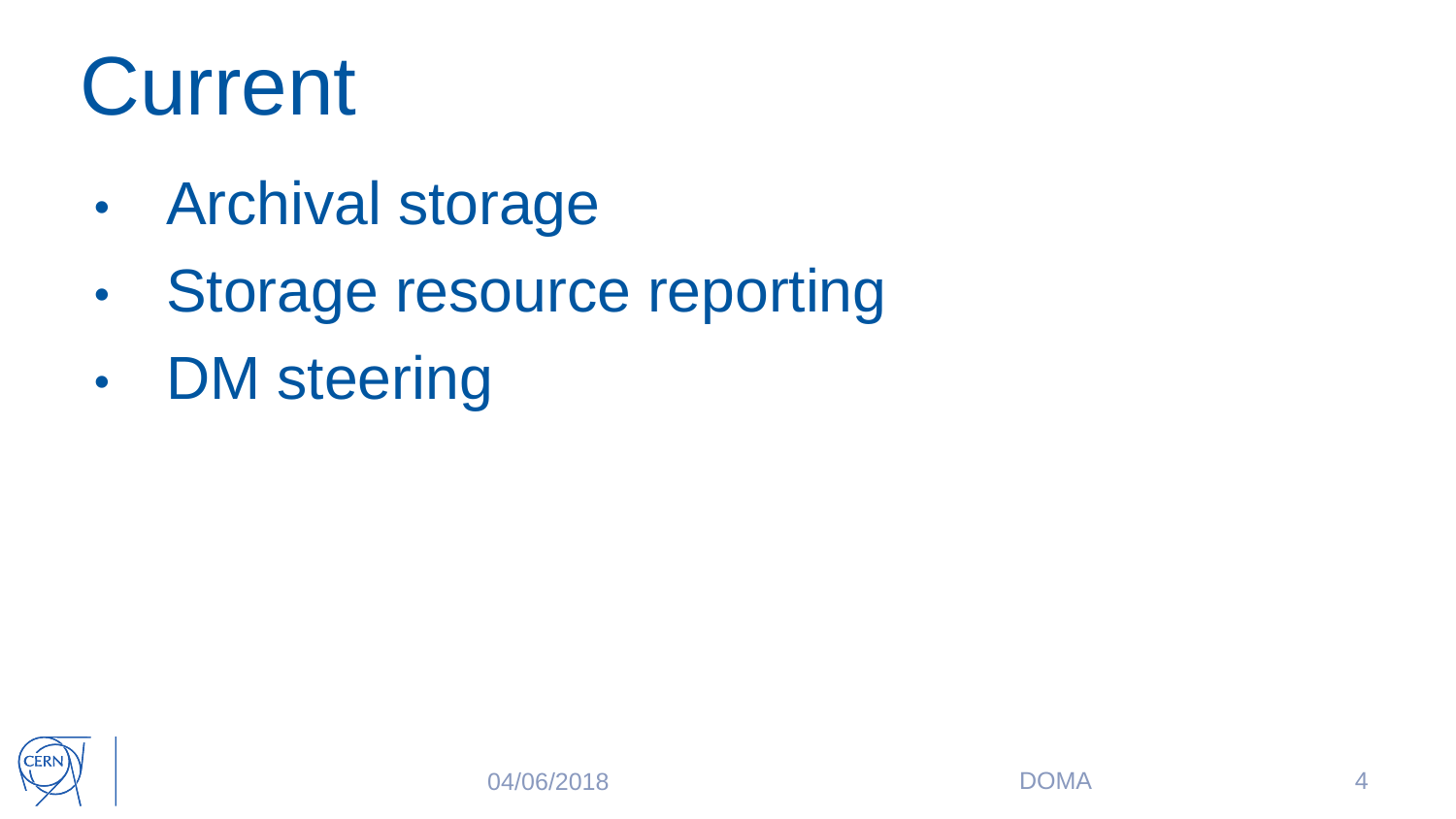### **Current**

- Archival storage
- Storage resource reporting
- DM steering

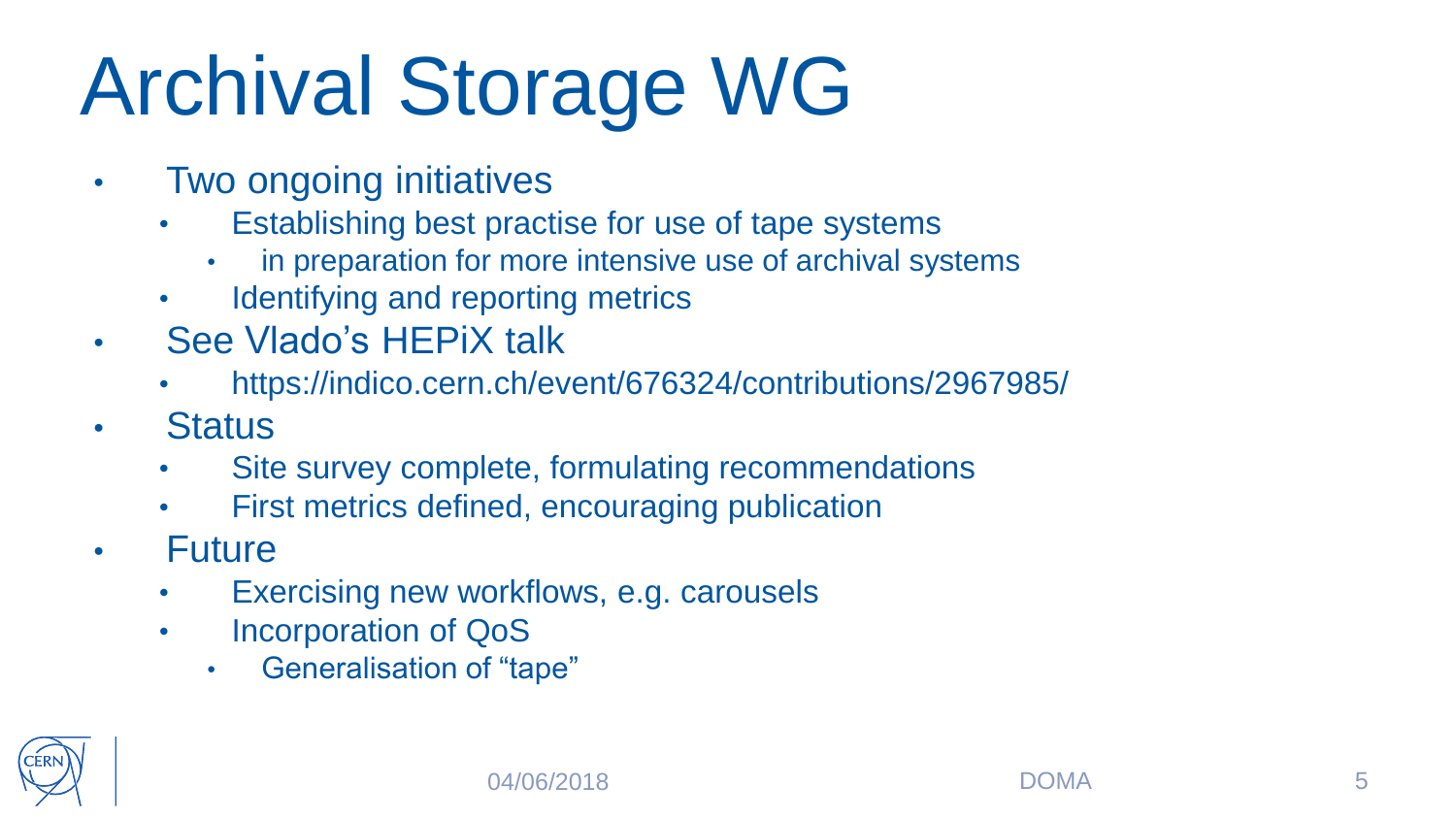## Archival Storage WG

- **Two ongoing initiatives** 
	- Establishing best practise for use of tape systems
		- in preparation for more intensive use of archival systems
	- Identifying and reporting metrics
- See Vlado's HEPiX talk
	- https://indico.cern.ch/event/676324/contributions/2967985/
- Status
	- Site survey complete, formulating recommendations
	- First metrics defined, encouraging publication
- **Future** 
	- Exercising new workflows, e.g. carousels
	- Incorporation of QoS
		- Generalisation of "tape"

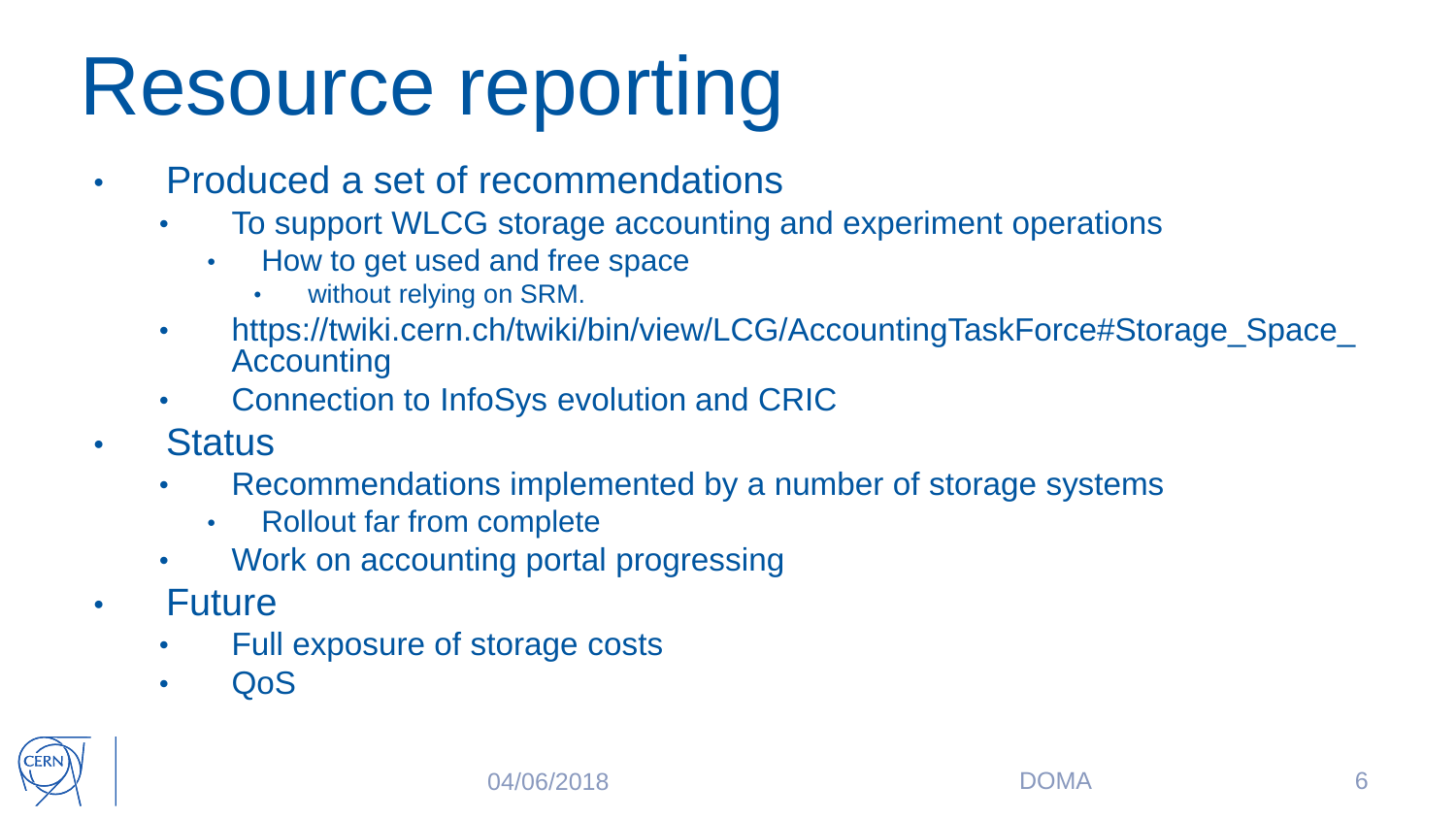### Resource reporting

- Produced a set of recommendations
	- To support WLCG storage accounting and experiment operations
		- How to get used and free space
			- without relying on SRM.
	- https://twiki.cern.ch/twiki/bin/view/LCG/AccountingTaskForce#Storage\_Space\_ Accounting
	- Connection to InfoSys evolution and CRIC
- Status
	- Recommendations implemented by a number of storage systems
		- Rollout far from complete
	- Work on accounting portal progressing
- Future
	- Full exposure of storage costs
	- QoS

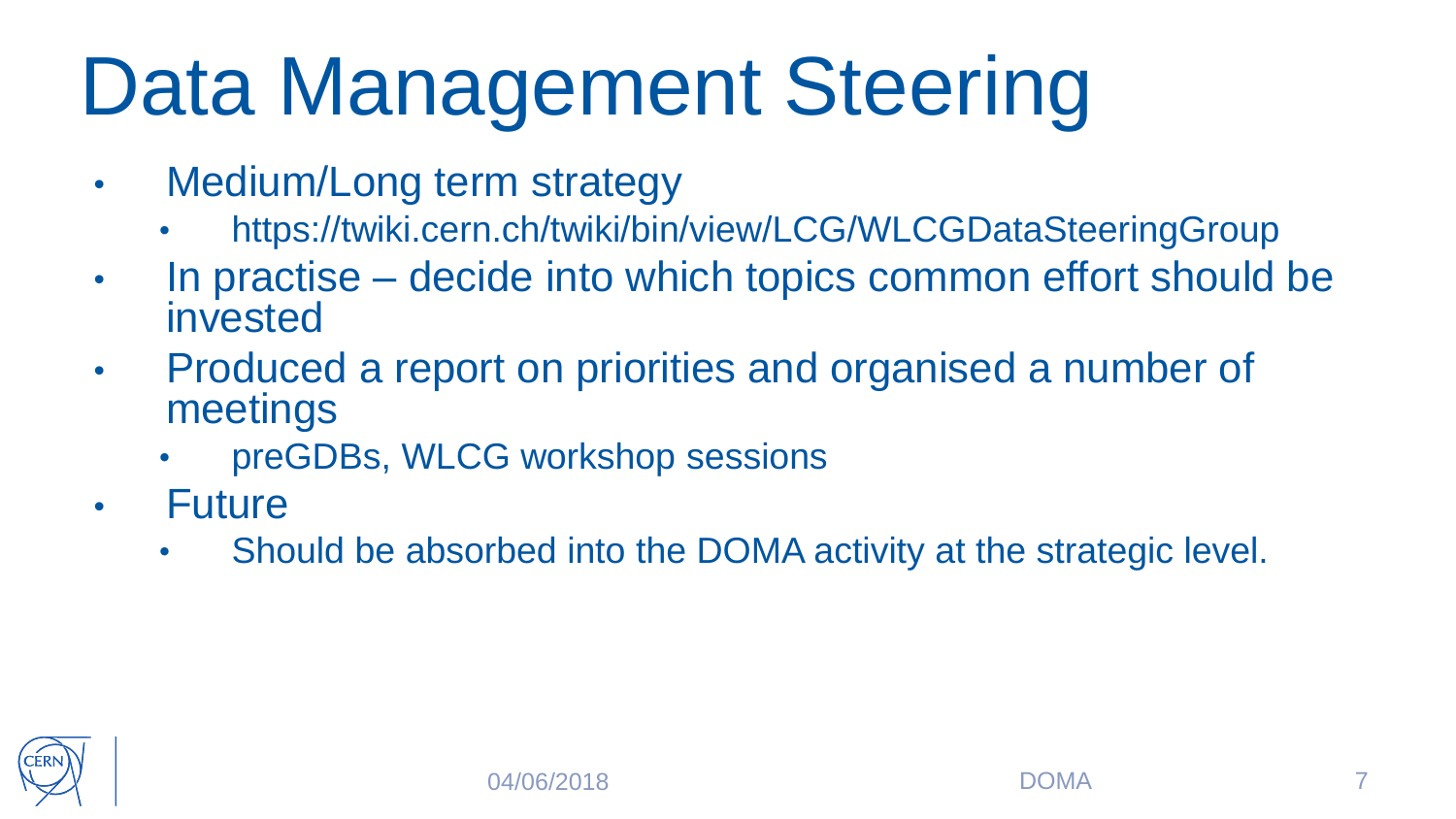### Data Management Steering

- Medium/Long term strategy
	- https://twiki.cern.ch/twiki/bin/view/LCG/WLCGDataSteeringGroup
- In practise decide into which topics common effort should be invested
- Produced a report on priorities and organised a number of meetings
	- preGDBs, WLCG workshop sessions
- **Future** 
	- Should be absorbed into the DOMA activity at the strategic level.

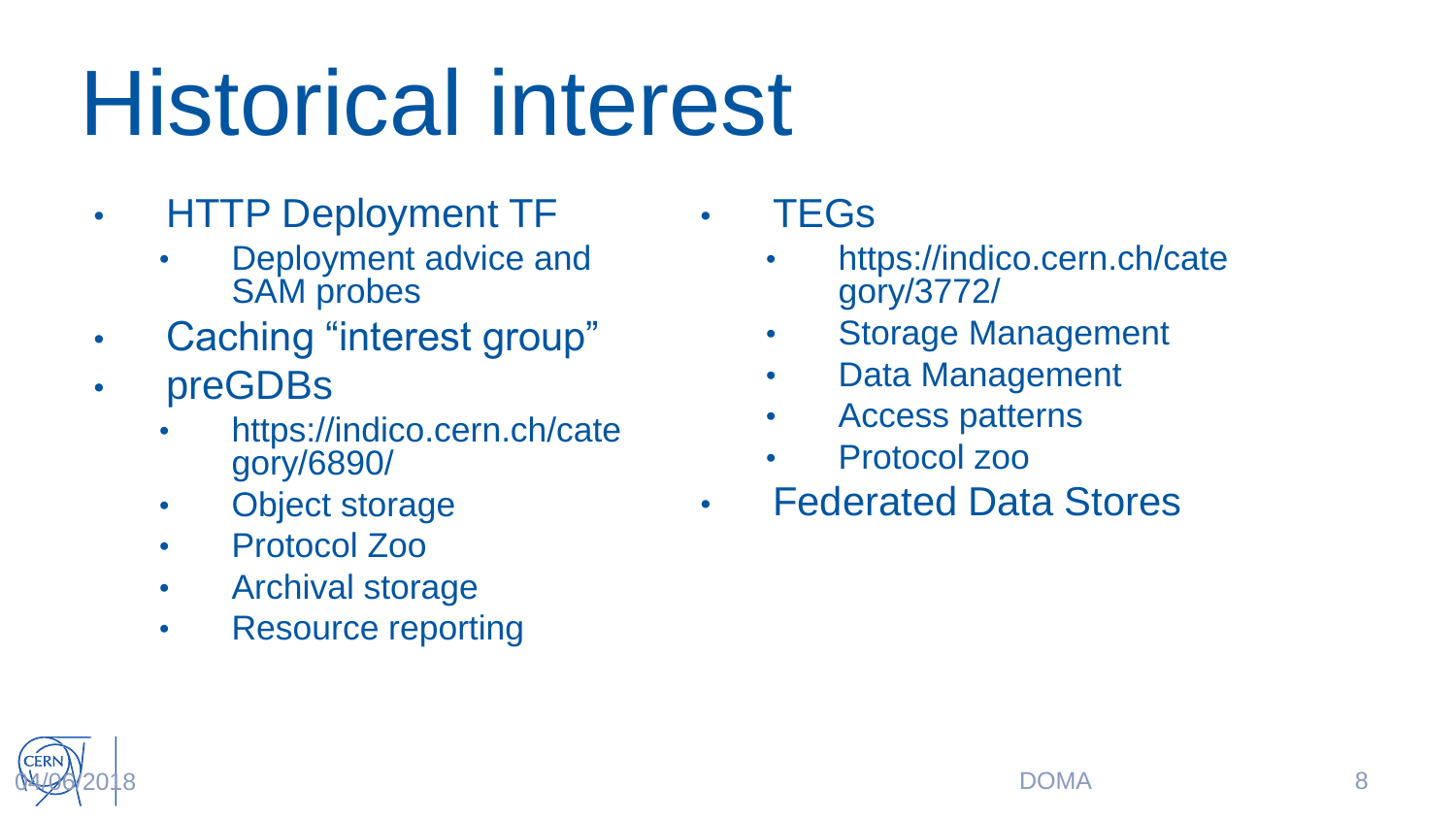# Historical interest

- HTTP Deployment TF
	- Deployment advice and SAM probes
- Caching "interest group"
- preGDBs
	- https://indico.cern.ch/cate gory/6890/
	- Object storage
	- Protocol Zoo
	- Archival storage
	- Resource reporting

• TEGs

- https://indico.cern.ch/cate gory/3772/
- Storage Management
- Data Management
- Access patterns
- Protocol zoo
- Federated Data Stores

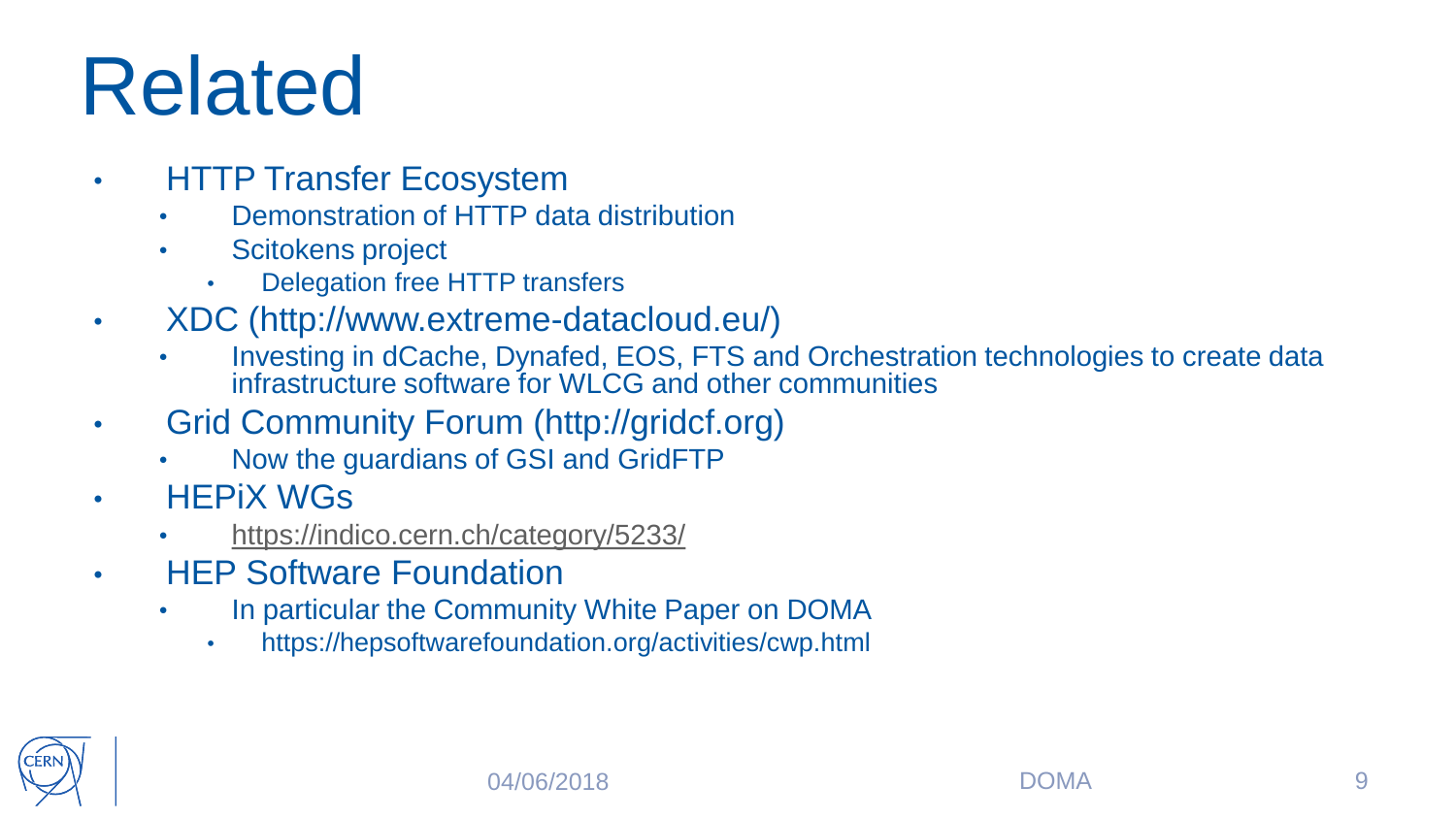### Related

- **HTTP Transfer Ecosystem** 
	- Demonstration of HTTP data distribution
	- Scitokens project
		- Delegation free HTTP transfers
- XDC (http://www.extreme-datacloud.eu/)
	- Investing in dCache, Dynafed, EOS, FTS and Orchestration technologies to create data infrastructure software for WLCG and other communities
- Grid Community Forum (http://gridcf.org)
	- Now the guardians of GSI and GridFTP
- HEPiX WGs
	- <https://indico.cern.ch/category/5233/>
- **HFP Software Foundation** 
	- In particular the Community White Paper on DOMA
		- https://hepsoftwarefoundation.org/activities/cwp.html

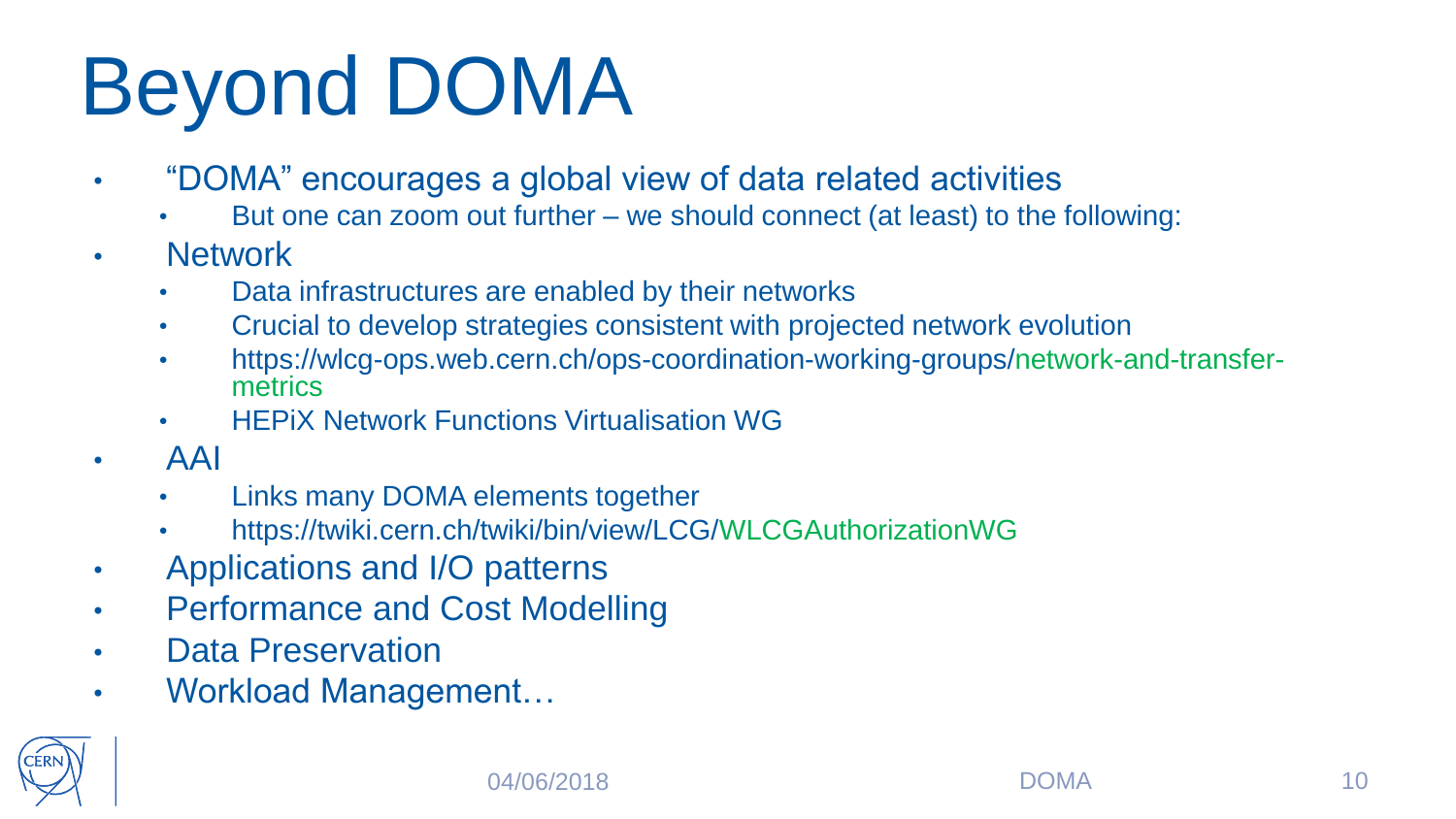## Beyond DOMA

- "DOMA" encourages a global view of data related activities
	- But one can zoom out further we should connect (at least) to the following:
- Network
	- Data infrastructures are enabled by their networks
	- Crucial to develop strategies consistent with projected network evolution
	- https://wlcg-ops.web.cern.ch/ops-coordination-working-groups/network-and-transfermetrics
	- HEPiX Network Functions Virtualisation WG
- AAI
	- Links many DOMA elements together
	- https://twiki.cern.ch/twiki/bin/view/LCG/WLCGAuthorizationWG
- Applications and I/O patterns
- Performance and Cost Modelling
- Data Preservation
- Workload Management…